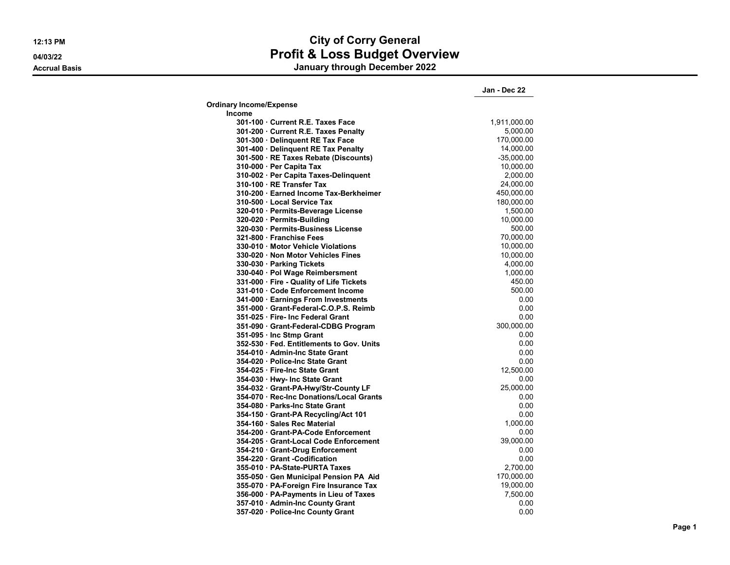# **12:13 PM City of Corry General 04/03/22 Profit & Loss Budget Overview**

**Accrual Basis January through December 2022**

|                                           | Jan - Dec 22 |
|-------------------------------------------|--------------|
| <b>Ordinary Income/Expense</b>            |              |
| <b>Income</b>                             |              |
| 301-100 Current R.E. Taxes Face           | 1,911,000.00 |
| 301-200 Current R.E. Taxes Penalty        | 5,000.00     |
| 301-300 Delinquent RE Tax Face            | 170,000.00   |
| 301-400 · Delinquent RE Tax Penalty       | 14,000.00    |
| 301-500 · RE Taxes Rebate (Discounts)     | $-35,000.00$ |
| 310-000 · Per Capita Tax                  | 10,000.00    |
| 310-002 · Per Capita Taxes-Delinquent     | 2.000.00     |
| 310-100 · RE Transfer Tax                 | 24,000.00    |
| 310-200 · Earned Income Tax-Berkheimer    | 450,000.00   |
| 310-500 Local Service Tax                 | 180,000.00   |
| 320-010 · Permits-Beverage License        | 1,500.00     |
| 320-020 · Permits-Building                | 10,000.00    |
| 320-030 · Permits-Business License        | 500.00       |
| 321-800 Franchise Fees                    | 70,000.00    |
| 330-010 Motor Vehicle Violations          | 10,000.00    |
| 330-020 Non Motor Vehicles Fines          | 10,000.00    |
| 330-030 · Parking Tickets                 | 4,000.00     |
| 330-040 · Pol Wage Reimbersment           | 1,000.00     |
| 331-000 · Fire - Quality of Life Tickets  | 450.00       |
| 331-010 Code Enforcement Income           | 500.00       |
| 341-000 · Earnings From Investments       | 0.00         |
| 351-000 Grant-Federal-C.O.P.S. Reimb      | 0.00         |
| 351-025 · Fire- Inc Federal Grant         | 0.00         |
| 351-090 Grant-Federal-CDBG Program        | 300,000.00   |
| 351-095 · Inc Stmp Grant                  | 0.00         |
| 352-530 · Fed. Entitlements to Gov. Units | 0.00         |
| 354-010 Admin-Inc State Grant             | 0.00         |
| 354-020 · Police-Inc State Grant          | 0.00         |
| 354-025 · Fire-Inc State Grant            | 12,500.00    |
| 354-030 · Hwy- Inc State Grant            | 0.00         |
| 354-032 Grant-PA-Hwy/Str-County LF        | 25,000.00    |
| 354-070 · Rec-Inc Donations/Local Grants  | 0.00         |
| 354-080 Parks-Inc State Grant             | 0.00         |
| 354-150 Grant-PA Recycling/Act 101        | 0.00         |
| 354-160 · Sales Rec Material              | 1,000.00     |
| 354-200 Grant-PA-Code Enforcement         | 0.00         |
| 354-205 · Grant-Local Code Enforcement    | 39,000.00    |
| 354-210 Grant-Drug Enforcement            | 0.00         |
| 354-220 Grant -Codification               | 0.00         |
| 355-010 · PA-State-PURTA Taxes            | 2,700.00     |
| 355-050 Gen Municipal Pension PA Aid      | 170,000.00   |
| 355-070 · PA-Foreign Fire Insurance Tax   | 19,000.00    |
| 356-000 · PA-Payments in Lieu of Taxes    | 7,500.00     |
| 357-010 · Admin-Inc County Grant          | 0.00         |
| 357-020 · Police-Inc County Grant         | 0.00         |
|                                           |              |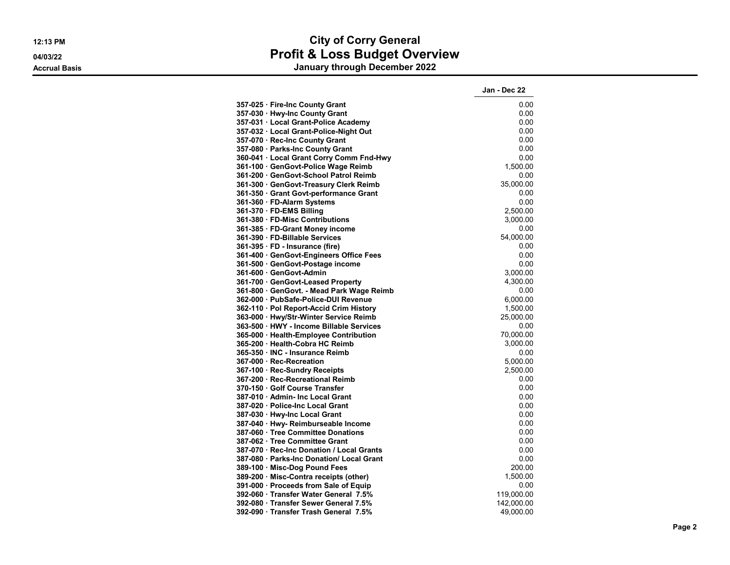**Jan - Dec 22 357-025 · Fire-Inc County Grant** 0.00 **357-030 · Hwy-Inc County Grant** 0.00 **357-031 · Local Grant-Police Academy** 0.00 **357-032 · Local Grant-Police-Night Out 0.00 and 0.00 and 0.00 and 0.00 and 0.00 and 0.00 and 0.00 and 0.00 and 0.00 and 0.00 and 0.00 and 0.00 and 0.00 and 0.00 and 0.00 and 0.00 and 0.00 and 0.00 and 0.00 and 0.00 and 0. 357-070 · Rec-Inc County Grant** 0.00 **357-080 · Parks-Inc County Grant** 0.00 **360-041 · Local Grant Corry Comm Fnd-Hwy** 0.00 361-100 · GenGovt-Police Wage Reimb **361-200 · GenGovt-School Patrol Reimb** 0.00 **361-300 · GenGovt-Treasury Clerk Reimb** 35,000.00 **361-350 · Grant Govt-performance Grant** 0.00 **361-360 · FD-Alarm Systems** 0.00 **361-370 · FD-EMS Billing** 2,500.00 **361-380 · FD-Misc Contributions** 3,000.00 **361-385 · FD-Grant Money income** 0.00 **361-390 · FD-Billable Services** 54,000.00 **361-395 · FD - Insurance (fire)** 0.00<br>**361-400 · GenGovt-Engineers Office Fees** 0.000 **0.00** 0.00 **361-400 · GenGovt-Engineers Office Fees 361-500 · GenGovt-Postage income** 0.00 **361-600 · GenGovt-Admin** 3,000.00 **361-700 · GenGovt-Leased Property 4,300.00 361-800 · GenGovt. - Mead Park Wage Reimb** 0.00 **362-000 · PubSafe-Police-DUI Revenue** 6,000.00 **362-110 · Pol Report-Accid Crim History** 1,500.00 **363-000 · Hwy/Str-Winter Service Reimb** 25,000.00 **363-500 · HWY - Income Billable Services** 0.00 **365-000 · Health-Employee Contribution**<br>**365-200 · Health-Cobra HC Reimb 3.000.00 365-200 · Health-Cobra HC Reimb 365-350 · INC - Insurance Reimb** 0.00 **367-000 · Rec-Recreation** 5,000.00 **367-100 · Rec-Sundry Receipts** 2,500.00 **367-200 · Rec-Recreational Reimb** 0.00 **370-150 · Golf Course Transfer** 0.00 **387-010 · Admin- Inc Local Grant 387-020 · Police-Inc Local Grant** 0.00 **387-030 · Hwy-Inc Local Grant** 0.00 **387-040 · Hwy- Reimburseable Income 6.00 · COMPUTE 1.000 · The COMPUTE 1.000 · Tree Committee Donations / COMPUTE 1.000 · COMPUTE 1.000 · Tree Committee Donations / COMPUTE 1.000 · Tree Committee Donations / COMPUTE 1.000 387-060 · Tree Committee Donations** 0.00 **387-062 · Tree Committee Grant** 0.00

**387-070 · Rec-Inc Donation / Local Grants** 0.00 **387-080 · Parks-Inc Donation/ Local Grant** 0.00 **389-100 · Misc-Dog Pound Fees** 200.00 **389-200 · Misc-Contra receipts (other)** 1,500.00 **391-000 · Proceeds from Sale of Equip 1.000 1.000 1.000 0.00 0.00 392-060 · Transfer Water General 7.5%** 119,000.00 **392-080 · Transfer Sewer General 7.5%** 142,000.00 **392-090 · Transfer Trash General 7.5%** 49,000.00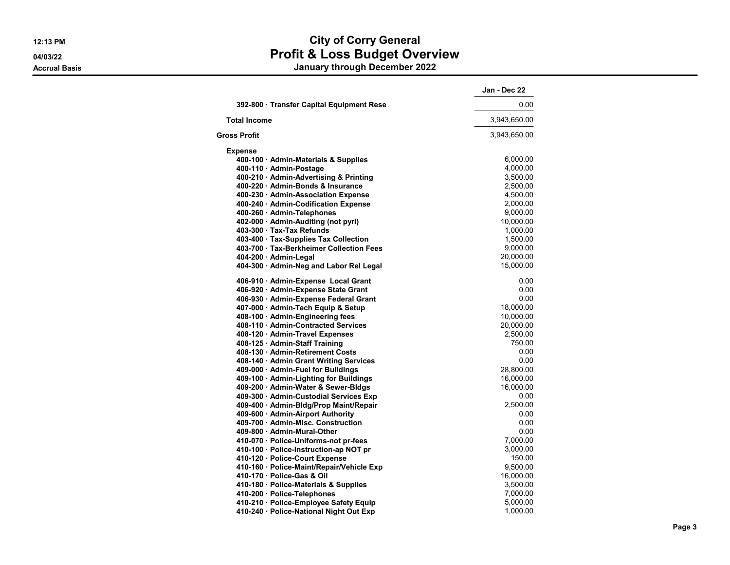|                                           | Jan - Dec 22 |
|-------------------------------------------|--------------|
| 392-800 · Transfer Capital Equipment Rese | 0.00         |
| <b>Total Income</b>                       | 3,943,650.00 |
| Gross Profit                              | 3,943,650.00 |
| <b>Expense</b>                            |              |
| 400-100 · Admin-Materials & Supplies      | 6,000.00     |
| 400-110 · Admin-Postage                   | 4,000.00     |
| 400-210 · Admin-Advertising & Printing    | 3,500.00     |
| 400-220 · Admin-Bonds & Insurance         | 2,500.00     |
| 400-230 · Admin-Association Expense       | 4,500.00     |
| 400-240 · Admin-Codification Expense      | 2,000.00     |
| 400-260 · Admin-Telephones                | 9,000.00     |
| 402-000 · Admin-Auditing (not pyrl)       | 10,000.00    |
| 403-300 Tax-Tax Refunds                   | 1,000.00     |
| 403-400 · Tax-Supplies Tax Collection     | 1,500.00     |
| 403-700 · Tax-Berkheimer Collection Fees  | 9,000.00     |
| 404-200 · Admin-Legal                     | 20,000.00    |
| 404-300 · Admin-Neg and Labor Rel Legal   | 15,000.00    |
| 406-910 · Admin-Expense Local Grant       | 0.00         |
| 406-920 · Admin-Expense State Grant       | 0.00         |
| 406-930 · Admin-Expense Federal Grant     | 0.00         |
| 407-000 · Admin-Tech Equip & Setup        | 18,000.00    |
| 408-100 · Admin-Engineering fees          | 10,000.00    |
| 408-110 Admin-Contracted Services         | 20,000.00    |
| 408-120 · Admin-Travel Expenses           | 2,500.00     |
| 408-125 · Admin-Staff Training            | 750.00       |
| 408-130 Admin-Retirement Costs            | 0.00         |
| 408-140 · Admin Grant Writing Services    | 0.00         |
| 409-000 · Admin-Fuel for Buildings        | 28,800.00    |
| 409-100 · Admin-Lighting for Buildings    | 16,000.00    |
| 409-200 · Admin-Water & Sewer-Bldgs       | 16,000.00    |
| 409-300 · Admin-Custodial Services Exp    | 0.00         |
| 409-400 · Admin-Bldg/Prop Maint/Repair    | 2,500.00     |
| 409-600 · Admin-Airport Authority         | 0.00         |
| 409-700 Admin-Misc. Construction          | 0.00         |
| 409-800 · Admin-Mural-Other               | 0.00         |
| 410-070 · Police-Uniforms-not pr-fees     | 7,000.00     |
| 410-100 · Police-Instruction-ap NOT pr    | 3,000.00     |
| 410-120 · Police-Court Expense            | 150.00       |
| 410-160 · Police-Maint/Repair/Vehicle Exp | 9,500.00     |
| 410-170 · Police-Gas & Oil                | 16,000.00    |
| 410-180 · Police-Materials & Supplies     | 3,500.00     |
| 410-200 · Police-Telephones               | 7,000.00     |
| 410-210 · Police-Employee Safety Equip    | 5,000.00     |
| 410-240 · Police-National Night Out Exp   | 1,000.00     |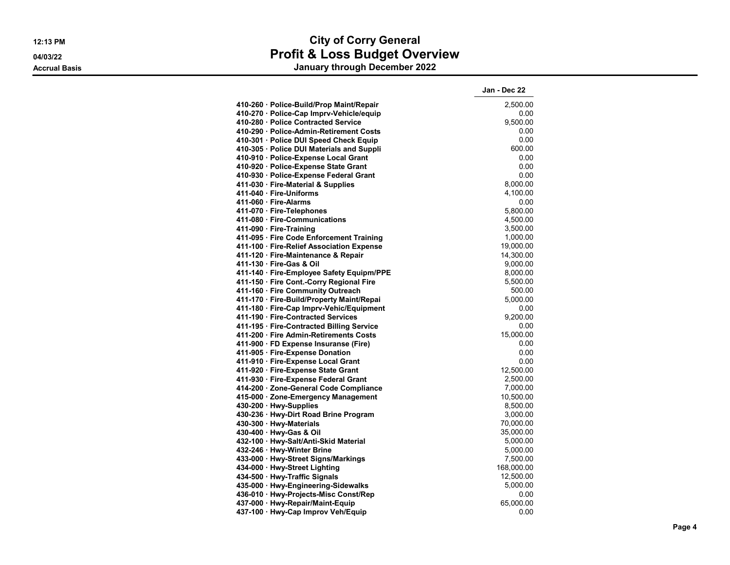# **12:13 PM City of Corry General 04/03/22 Profit & Loss Budget Overview**

**Accrual Basis January through December 2022**

|                                           | Jan - Dec 22 |
|-------------------------------------------|--------------|
| 410-260 · Police-Build/Prop Maint/Repair  | 2,500.00     |
| 410-270 · Police-Cap Imprv-Vehicle/equip  | 0.00         |
| 410-280 · Police Contracted Service       | 9,500.00     |
| 410-290 · Police-Admin-Retirement Costs   | 0.00         |
| 410-301 · Police DUI Speed Check Equip    | 0.00         |
| 410-305 · Police DUI Materials and Suppli | 600.00       |
| 410-910 · Police-Expense Local Grant      | 0.00         |
| 410-920 · Police-Expense State Grant      | 0.00         |
| 410-930 · Police-Expense Federal Grant    | 0.00         |
| 411-030 · Fire-Material & Supplies        | 8,000.00     |
| 411-040 · Fire-Uniforms                   | 4,100.00     |
| 411-060 Fire-Alarms                       | 0.00         |
| 411-070 · Fire-Telephones                 | 5,800.00     |
| 411-080 · Fire-Communications             | 4,500.00     |
| 411-090 Fire-Training                     | 3,500.00     |
| 411-095 · Fire Code Enforcement Training  | 1,000.00     |
| 411-100 · Fire-Relief Association Expense | 19,000.00    |
| 411-120 · Fire-Maintenance & Repair       | 14,300.00    |
| 411-130 Fire-Gas & Oil                    | 9,000.00     |
| 411-140 · Fire-Employee Safety Equipm/PPE | 8,000.00     |
| 411-150 · Fire Cont.-Corry Regional Fire  | 5,500.00     |
| 411-160 · Fire Community Outreach         | 500.00       |
| 411-170 · Fire-Build/Property Maint/Repai | 5,000.00     |
| 411-180 · Fire-Cap Imprv-Vehic/Equipment  | 0.00         |
| 411-190 · Fire-Contracted Services        | 9,200.00     |
| 411-195 · Fire-Contracted Billing Service | 0.00         |
| 411-200 Fire Admin-Retirements Costs      | 15,000.00    |
| 411-900 · FD Expense Insuranse (Fire)     | 0.00         |
| 411-905 · Fire-Expense Donation           | 0.00         |
| 411-910 · Fire-Expense Local Grant        | 0.00         |
| 411-920 · Fire-Expense State Grant        | 12,500.00    |
| 411-930 · Fire-Expense Federal Grant      | 2,500.00     |
| 414-200 · Zone-General Code Compliance    | 7,000.00     |
| 415-000 · Zone-Emergency Management       | 10,500.00    |
| 430-200 Hwy-Supplies                      | 8,500.00     |
| 430-236 · Hwy-Dirt Road Brine Program     | 3,000.00     |
| 430-300 · Hwy-Materials                   | 70,000.00    |
| 430-400 · Hwy-Gas & Oil                   | 35,000.00    |
| 432-100 · Hwy-Salt/Anti-Skid Material     | 5,000.00     |
| 432-246 · Hwy-Winter Brine                | 5,000.00     |
| 433-000 · Hwy-Street Signs/Markings       | 7,500.00     |
| 434-000 · Hwy-Street Lighting             | 168,000.00   |
| 434-500 · Hwy-Traffic Signals             | 12,500.00    |
| 435-000 · Hwy-Engineering-Sidewalks       | 5,000.00     |
| 436-010 · Hwy-Projects-Misc Const/Rep     | 0.00         |
| 437-000 · Hwy-Repair/Maint-Equip          | 65,000.00    |
| 437-100 · Hwy-Cap Improv Veh/Equip        | 0.00         |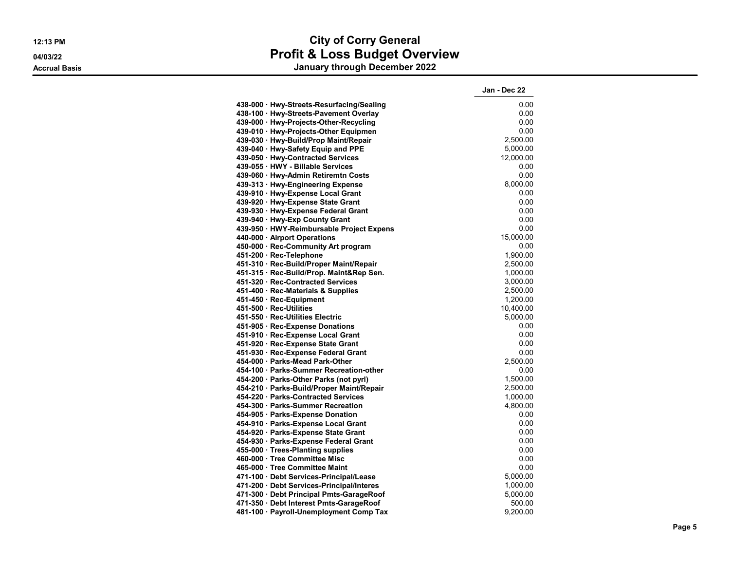**Jan - Dec 22 438-000 · Hwy-Streets-Resurfacing/Sealing** 0.00 **438-100 · Hwy-Streets-Pavement Overlay** 0.00 **439-000 · Hwy-Projects-Other-Recycling** 0.00 **439-010 · Hwy-Projects-Other Equipmen** 0.00 **439-030 · Hwy-Build/Prop Maint/Repair** 2,500.00 **439-040 · Hwy-Safety Equip and PPE** 5,000.00 **439-050 · Hwy-Contracted Services** 12,000.00 **439-055 · HWY - Billable Services** 0.00 **439-060 · Hwy-Admin Retiremtn Costs** 0.00 **439-313 · Hwy-Engineering Expense** 8,000.00 **439-910 · Hwy-Expense Local Grant** 0.00 **439-920 · Hwy-Expense State Grant** 0.00 **439-930 · Hwy-Expense Federal Grant 439-940 · Hwy-Exp County Grant** 0.00 **439-950 · HWY-Reimbursable Project Expens** 0.00 **440-000 · Airport Operations** 15,000.00 **450-000 · Rec-Community Art program** 0.00 **451-200 · Rec-Telephone 451-310 · Rec-Build/Proper Maint/Repair** 2,500.00 **451-315 · Rec-Build/Prop. Maint&Rep Sen.** 1,000.00 **451-320 · Rec-Contracted Services** 3,000.00 **451-400 · Rec-Materials & Supplies** 2,500.00 **451-450 · Rec-Equipment** 1,200.00 **451-500 · Rec-Utilities** 10,400.00 **451-550 · Rec-Utilities Electric** 5,000.00 **451-905 · Rec-Expense Donations** 0.00 **451-910 · Rec-Expense Local Grant** (1999) **1999 · Property CONSULATE:** 0.000 **451-920 · Rec-Expense State Grant** (1999) **451-920 · Rec-Expense State Grant** 0.00 **451-930 · Rec-Expense Federal Grant** 0.00 **454-000 · Parks-Mead Park-Other** 2,500.00 **454-100 · Parks-Summer Recreation-other** 0.00 **454-200 · Parks-Other Parks (not pyrl)** 1,500.00 **454-210 · Parks-Build/Proper Maint/Repair** 2,500.00 **454-220 · Parks-Contracted Services** 1,000.00 **454-300 · Parks-Summer Recreation** 4,800.00 **454-905 · Parks-Expense Donation** 0.00 **454-910 · Parks-Expense Local Grant** 0.00 **454-920 · Parks-Expense State Grant** 0.00 **454-930 · Parks-Expense Federal Grant** 0.00 **455-000 · Trees-Planting supplies** 0.00 **460-000 · Tree Committee Misc** 0.00 **465-000 · Tree Committee Maint** 0.00 **471-100 · Debt Services-Principal/Lease** 5,000.00 **471-200 · Debt Services-Principal/Interes** 1,000.00 **471-300 · Debt Principal Pmts-GarageRoof** 5,000.00 **471-350 · Debt Interest Pmts-GarageRoof** 500.00 **481-100 · Payroll-Unemployment Comp Tax** 9,200.00